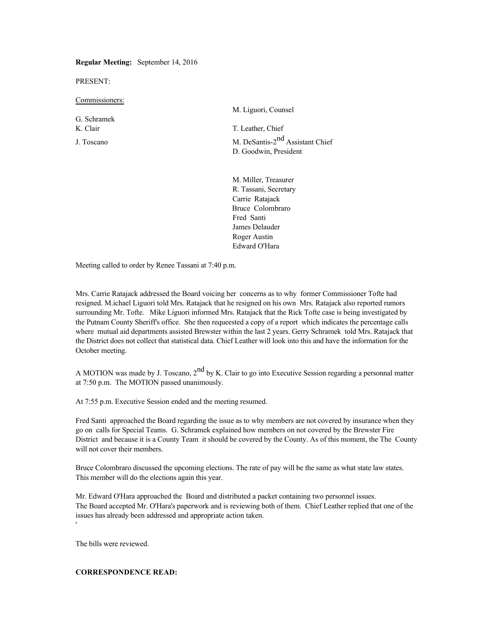**Regular Meeting:** September 14, 2016

PRESENT:

Commissioners:

G. Schramek

M. Liguori, Counsel K. Clair T. Leather, Chief J. Toscano M. DeSantis-2<sup>nd</sup> Assistant Chief D. Goodwin, President

> M. Miller, Treasurer R. Tassani, Secretary Carrie Ratajack Bruce Colombraro Fred Santi James Delauder Roger Austin Edward O'Hara

Meeting called to order by Renee Tassani at 7:40 p.m.

Mrs. Carrie Ratajack addressed the Board voicing her concerns as to why former Commissioner Tofte had resigned. M.ichael Liguori told Mrs. Ratajack that he resigned on his own Mrs. Ratajack also reported rumors surrounding Mr. Tofte. Mike Liguori informed Mrs. Ratajack that the Rick Tofte case is being investigated by the Putnam County Sheriff's office. She then requeested a copy of a report which indicates the percentage calls where mutual aid departments assisted Brewster within the last 2 years. Gerry Schramek told Mrs. Ratajack that the District does not collect that statistical data. Chief Leather will look into this and have the information for the October meeting.

A MOTION was made by J. Toscano,  $2^{nd}$  by K. Clair to go into Executive Session regarding a personnal matter at 7:50 p.m. The MOTION passed unanimously.

At 7:55 p.m. Executive Session ended and the meeting resumed.

Fred Santi approached the Board regarding the issue as to why members are not covered by insurance when they go on calls for Special Teams. G. Schramek explained how members on not covered by the Brewster Fire District and because it is a County Team it should be covered by the County. As of this moment, the The County will not cover their members.

Bruce Colombraro discussed the upcoming elections. The rate of pay will be the same as what state law states. This member will do the elections again this year.

Mr. Edward O'Hara approached the Board and distributed a packet containing two personnel issues. The Board accepted Mr. O'Hara's paperwork and is reviewing both of them. Chief Leather replied that one of the issues has already been addressed and appropriate action taken.

The bills were reviewed.

'

### **CORRESPONDENCE READ:**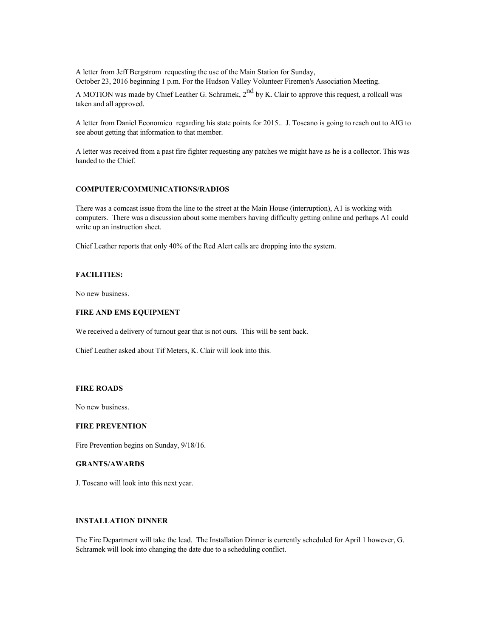A letter from Jeff Bergstrom requesting the use of the Main Station for Sunday, October 23, 2016 beginning 1 p.m. For the Hudson Valley Volunteer Firemen's Association Meeting.

A MOTION was made by Chief Leather G. Schramek,  $2^{nd}$  by K. Clair to approve this request, a rollcall was taken and all approved.

A letter from Daniel Economico regarding his state points for 2015.. J. Toscano is going to reach out to AIG to see about getting that information to that member.

A letter was received from a past fire fighter requesting any patches we might have as he is a collector. This was handed to the Chief.

#### **COMPUTER/COMMUNICATIONS/RADIOS**

There was a comcast issue from the line to the street at the Main House (interruption), A1 is working with computers. There was a discussion about some members having difficulty getting online and perhaps A1 could write up an instruction sheet.

Chief Leather reports that only 40% of the Red Alert calls are dropping into the system.

## **FACILITIES:**

No new business.

### **FIRE AND EMS EQUIPMENT**

We received a delivery of turnout gear that is not ours. This will be sent back.

Chief Leather asked about Tif Meters, K. Clair will look into this.

#### **FIRE ROADS**

No new business.

#### **FIRE PREVENTION**

Fire Prevention begins on Sunday, 9/18/16.

#### **GRANTS/AWARDS**

J. Toscano will look into this next year.

### **INSTALLATION DINNER**

The Fire Department will take the lead. The Installation Dinner is currently scheduled for April 1 however, G. Schramek will look into changing the date due to a scheduling conflict.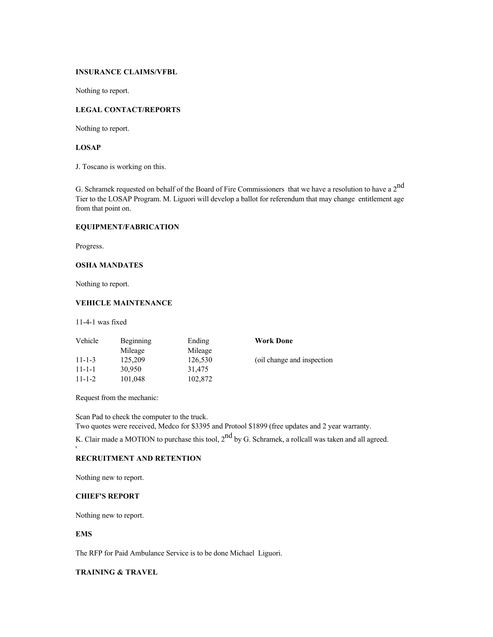## **INSURANCE CLAIMS/VFBL**

Nothing to report.

### **LEGAL CONTACT/REPORTS**

Nothing to report.

## **LOSAP**

J. Toscano is working on this.

G. Schramek requested on behalf of the Board of Fire Commissioners that we have a resolution to have a  $2^{nd}$ Tier to the LOSAP Program. M. Liguori will develop a ballot for referendum that may change entitlement age from that point on.

#### **EQUIPMENT/FABRICATION**

Progress.

# **OSHA MANDATES**

Nothing to report.

### **VEHICLE MAINTENANCE**

11-4-1 was fixed

| Vehicle      | <b>Beginning</b> | Ending  | <b>Work Done</b>           |
|--------------|------------------|---------|----------------------------|
|              | Mileage          | Mileage |                            |
| $11 - 1 - 3$ | 125.209          | 126,530 | (oil change and inspection |
| $11 - 1 - 1$ | 30.950           | 31,475  |                            |
| $11 - 1 - 2$ | 101,048          | 102,872 |                            |

Request from the mechanic:

Scan Pad to check the computer to the truck. Two quotes were received, Medco for \$3395 and Protool \$1899 (free updates and 2 year warranty.

K. Clair made a MOTION to purchase this tool,  $2<sup>nd</sup>$  by G. Schramek, a rollcall was taken and all agreed.

## **RECRUITMENT AND RETENTION**

Nothing new to report.

## **CHIEF'S REPORT**

Nothing new to report.

### **EMS**

'

The RFP for Paid Ambulance Service is to be done Michael Liguori.

# **TRAINING & TRAVEL**